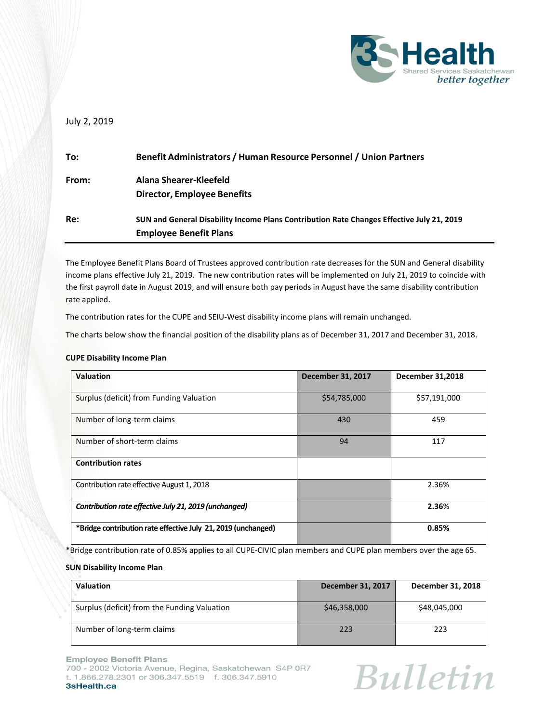

# July 2, 2019

| To:   | <b>Benefit Administrators / Human Resource Personnel / Union Partners</b>                 |
|-------|-------------------------------------------------------------------------------------------|
| From: | Alana Shearer-Kleefeld                                                                    |
|       | <b>Director, Employee Benefits</b>                                                        |
| Re:   | SUN and General Disability Income Plans Contribution Rate Changes Effective July 21, 2019 |
|       | <b>Employee Benefit Plans</b>                                                             |

The Employee Benefit Plans Board of Trustees approved contribution rate decreases for the SUN and General disability income plans effective July 21, 2019. The new contribution rates will be implemented on July 21, 2019 to coincide with the first payroll date in August 2019, and will ensure both pay periods in August have the same disability contribution rate applied.

The contribution rates for the CUPE and SEIU-West disability income plans will remain unchanged.

The charts below show the financial position of the disability plans as of December 31, 2017 and December 31, 2018.

## **CUPE Disability Income Plan**

| <b>Valuation</b>                                              | <b>December 31, 2017</b> | <b>December 31,2018</b> |
|---------------------------------------------------------------|--------------------------|-------------------------|
| Surplus (deficit) from Funding Valuation                      | \$54,785,000             | \$57,191,000            |
| Number of long-term claims                                    | 430                      | 459                     |
| Number of short-term claims                                   | 94                       | 117                     |
| <b>Contribution rates</b>                                     |                          |                         |
| Contribution rate effective August 1, 2018                    |                          | 2.36%                   |
| Contribution rate effective July 21, 2019 (unchanged)         |                          | 2.36%                   |
| *Bridge contribution rate effective July 21, 2019 (unchanged) |                          | 0.85%                   |

\*Bridge contribution rate of 0.85% applies to all CUPE-CIVIC plan members and CUPE plan members over the age 65.

#### **SUN Disability Income Plan**

| <b>Valuation</b>                             | December 31, 2017 | December 31, 2018 |
|----------------------------------------------|-------------------|-------------------|
| Surplus (deficit) from the Funding Valuation | \$46,358,000      | \$48,045,000      |
| Number of long-term claims                   | 223               | 223               |